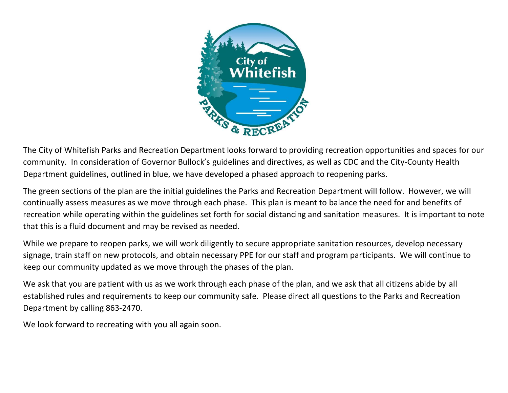

The City of Whitefish Parks and Recreation Department looks forward to providing recreation opportunities and spaces for our community. In consideration of Governor Bullock's guidelines and directives, as well as CDC and the City-County Health Department guidelines, outlined in blue, we have developed a phased approach to reopening parks.

The green sections of the plan are the initial guidelines the Parks and Recreation Department will follow. However, we will continually assess measures as we move through each phase. This plan is meant to balance the need for and benefits of recreation while operating within the guidelines set forth for social distancing and sanitation measures. It is important to note that this is a fluid document and may be revised as needed.

While we prepare to reopen parks, we will work diligently to secure appropriate sanitation resources, develop necessary signage, train staff on new protocols, and obtain necessary PPE for our staff and program participants. We will continue to keep our community updated as we move through the phases of the plan.

We ask that you are patient with us as we work through each phase of the plan, and we ask that all citizens abide by all established rules and requirements to keep our community safe. Please direct all questions to the Parks and Recreation Department by calling 863-2470.

We look forward to recreating with you all again soon.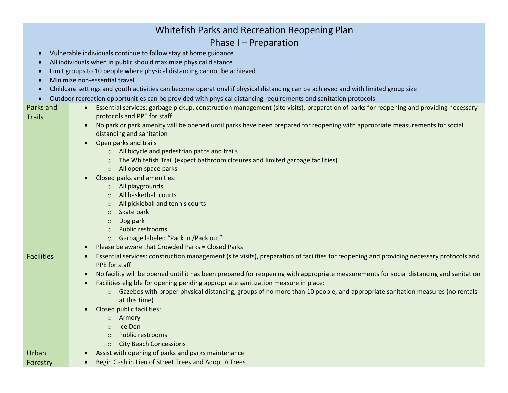| Whitefish Parks and Recreation Reopening Plan                                                                                                                   |                                                                                                                                                                                                                               |  |  |
|-----------------------------------------------------------------------------------------------------------------------------------------------------------------|-------------------------------------------------------------------------------------------------------------------------------------------------------------------------------------------------------------------------------|--|--|
| Phase I - Preparation                                                                                                                                           |                                                                                                                                                                                                                               |  |  |
|                                                                                                                                                                 | Vulnerable individuals continue to follow stay at home guidance                                                                                                                                                               |  |  |
| All individuals when in public should maximize physical distance                                                                                                |                                                                                                                                                                                                                               |  |  |
|                                                                                                                                                                 | Limit groups to 10 people where physical distancing cannot be achieved                                                                                                                                                        |  |  |
| Minimize non-essential travel                                                                                                                                   |                                                                                                                                                                                                                               |  |  |
| Childcare settings and youth activities can become operational if physical distancing can be achieved and with limited group size                               |                                                                                                                                                                                                                               |  |  |
| Outdoor recreation opportunities can be provided with physical distancing requirements and sanitation protocols<br>$\bullet$                                    |                                                                                                                                                                                                                               |  |  |
| Parks and<br>Essential services: garbage pickup, construction management (site visits), preparation of parks for reopening and providing necessary<br>$\bullet$ |                                                                                                                                                                                                                               |  |  |
| <b>Trails</b>                                                                                                                                                   | protocols and PPE for staff                                                                                                                                                                                                   |  |  |
|                                                                                                                                                                 | No park or park amenity will be opened until parks have been prepared for reopening with appropriate measurements for social<br>$\bullet$                                                                                     |  |  |
|                                                                                                                                                                 | distancing and sanitation                                                                                                                                                                                                     |  |  |
|                                                                                                                                                                 | Open parks and trails                                                                                                                                                                                                         |  |  |
|                                                                                                                                                                 | o All bicycle and pedestrian paths and trails                                                                                                                                                                                 |  |  |
|                                                                                                                                                                 | The Whitefish Trail (expect bathroom closures and limited garbage facilities)                                                                                                                                                 |  |  |
|                                                                                                                                                                 | All open space parks<br>$\circ$                                                                                                                                                                                               |  |  |
|                                                                                                                                                                 | Closed parks and amenities:                                                                                                                                                                                                   |  |  |
|                                                                                                                                                                 | All playgrounds<br>$\circ$                                                                                                                                                                                                    |  |  |
|                                                                                                                                                                 | All basketball courts                                                                                                                                                                                                         |  |  |
|                                                                                                                                                                 | All pickleball and tennis courts<br>$\circ$                                                                                                                                                                                   |  |  |
|                                                                                                                                                                 | Skate park<br>$\circ$                                                                                                                                                                                                         |  |  |
|                                                                                                                                                                 | Dog park<br>$\circ$                                                                                                                                                                                                           |  |  |
|                                                                                                                                                                 | Public restrooms<br>$\circ$                                                                                                                                                                                                   |  |  |
|                                                                                                                                                                 | Garbage labeled "Pack in /Pack out"<br>$\circ$                                                                                                                                                                                |  |  |
|                                                                                                                                                                 | Please be aware that Crowded Parks = Closed Parks                                                                                                                                                                             |  |  |
| <b>Facilities</b>                                                                                                                                               | Essential services: construction management (site visits), preparation of facilities for reopening and providing necessary protocols and<br>$\bullet$                                                                         |  |  |
|                                                                                                                                                                 | PPE for staff                                                                                                                                                                                                                 |  |  |
|                                                                                                                                                                 | No facility will be opened until it has been prepared for reopening with appropriate measurements for social distancing and sanitation                                                                                        |  |  |
|                                                                                                                                                                 | Facilities eligible for opening pending appropriate sanitization measure in place:<br>$\bullet$<br>Gazebos with proper physical distancing, groups of no more than 10 people, and appropriate sanitation measures (no rentals |  |  |
|                                                                                                                                                                 | $\circ$<br>at this time)                                                                                                                                                                                                      |  |  |
|                                                                                                                                                                 | <b>Closed public facilities:</b>                                                                                                                                                                                              |  |  |
|                                                                                                                                                                 | Armory<br>$\circ$                                                                                                                                                                                                             |  |  |
|                                                                                                                                                                 | Ice Den<br>$\circ$                                                                                                                                                                                                            |  |  |
|                                                                                                                                                                 | Public restrooms<br>$\Omega$                                                                                                                                                                                                  |  |  |
|                                                                                                                                                                 | <b>City Beach Concessions</b><br>$\Omega$                                                                                                                                                                                     |  |  |
| Urban                                                                                                                                                           | Assist with opening of parks and parks maintenance<br>$\bullet$                                                                                                                                                               |  |  |
| Forestry                                                                                                                                                        | Begin Cash in Lieu of Street Trees and Adopt A Trees<br>$\bullet$                                                                                                                                                             |  |  |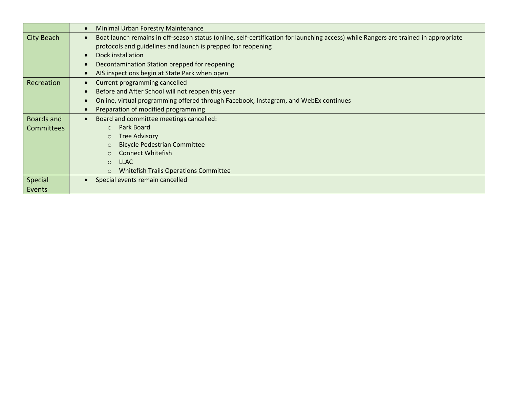|                   | <b>Minimal Urban Forestry Maintenance</b>                                                                                           |
|-------------------|-------------------------------------------------------------------------------------------------------------------------------------|
| <b>City Beach</b> | Boat launch remains in off-season status (online, self-certification for launching access) while Rangers are trained in appropriate |
|                   | protocols and guidelines and launch is prepped for reopening                                                                        |
|                   | Dock installation                                                                                                                   |
|                   | Decontamination Station prepped for reopening                                                                                       |
|                   | AIS inspections begin at State Park when open                                                                                       |
| Recreation        | Current programming cancelled                                                                                                       |
|                   | Before and After School will not reopen this year                                                                                   |
|                   | Online, virtual programming offered through Facebook, Instagram, and WebEx continues                                                |
|                   | Preparation of modified programming                                                                                                 |
| <b>Boards and</b> | Board and committee meetings cancelled:                                                                                             |
| <b>Committees</b> | Park Board<br>$\Omega$                                                                                                              |
|                   | <b>Tree Advisory</b><br>$\circ$                                                                                                     |
|                   | <b>Bicycle Pedestrian Committee</b>                                                                                                 |
|                   | <b>Connect Whitefish</b>                                                                                                            |
|                   | <b>LLAC</b><br>$\Omega$                                                                                                             |
|                   | <b>Whitefish Trails Operations Committee</b>                                                                                        |
| Special           | Special events remain cancelled                                                                                                     |
| Events            |                                                                                                                                     |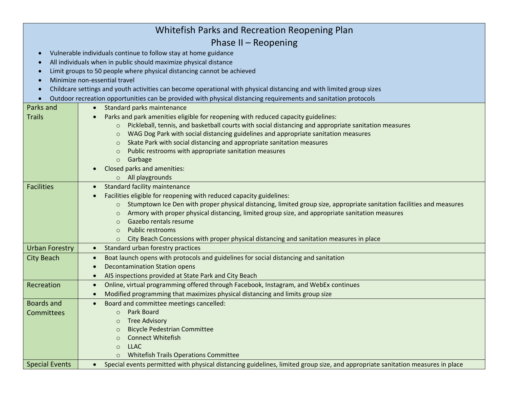| Whitefish Parks and Recreation Reopening Plan                                                                        |                                                                                                                                |  |
|----------------------------------------------------------------------------------------------------------------------|--------------------------------------------------------------------------------------------------------------------------------|--|
| Phase II $-$ Reopening                                                                                               |                                                                                                                                |  |
| Vulnerable individuals continue to follow stay at home guidance<br>$\bullet$                                         |                                                                                                                                |  |
| All individuals when in public should maximize physical distance                                                     |                                                                                                                                |  |
| Limit groups to 50 people where physical distancing cannot be achieved                                               |                                                                                                                                |  |
| Minimize non-essential travel                                                                                        |                                                                                                                                |  |
| Childcare settings and youth activities can become operational with physical distancing and with limited group sizes |                                                                                                                                |  |
| Outdoor recreation opportunities can be provided with physical distancing requirements and sanitation protocols      |                                                                                                                                |  |
| Parks and                                                                                                            | Standard parks maintenance<br>$\bullet$                                                                                        |  |
| <b>Trails</b>                                                                                                        | Parks and park amenities eligible for reopening with reduced capacity guidelines:                                              |  |
|                                                                                                                      | Pickleball, tennis, and basketball courts with social distancing and appropriate sanitation measures<br>$\circ$                |  |
|                                                                                                                      | WAG Dog Park with social distancing guidelines and appropriate sanitation measures<br>$\circ$                                  |  |
|                                                                                                                      | Skate Park with social distancing and appropriate sanitation measures<br>$\circ$                                               |  |
|                                                                                                                      | Public restrooms with appropriate sanitation measures<br>$\circ$                                                               |  |
|                                                                                                                      | Garbage<br>$\circ$                                                                                                             |  |
|                                                                                                                      | Closed parks and amenities:                                                                                                    |  |
|                                                                                                                      | All playgrounds<br>$\circ$                                                                                                     |  |
| <b>Facilities</b>                                                                                                    | <b>Standard facility maintenance</b>                                                                                           |  |
|                                                                                                                      | Facilities eligible for reopening with reduced capacity guidelines:                                                            |  |
|                                                                                                                      | Stumptown Ice Den with proper physical distancing, limited group size, appropriate sanitation facilities and measures          |  |
|                                                                                                                      | Armory with proper physical distancing, limited group size, and appropriate sanitation measures<br>$\circ$                     |  |
|                                                                                                                      | Gazebo rentals resume<br>$\circ$                                                                                               |  |
|                                                                                                                      | Public restrooms<br>$\circ$                                                                                                    |  |
|                                                                                                                      | City Beach Concessions with proper physical distancing and sanitation measures in place                                        |  |
| <b>Urban Forestry</b>                                                                                                | Standard urban forestry practices<br>$\bullet$                                                                                 |  |
| <b>City Beach</b>                                                                                                    | Boat launch opens with protocols and guidelines for social distancing and sanitation<br>$\bullet$                              |  |
|                                                                                                                      | <b>Decontamination Station opens</b>                                                                                           |  |
|                                                                                                                      | AIS inspections provided at State Park and City Beach                                                                          |  |
| Recreation                                                                                                           | Online, virtual programming offered through Facebook, Instagram, and WebEx continues<br>$\bullet$                              |  |
|                                                                                                                      | Modified programming that maximizes physical distancing and limits group size                                                  |  |
| <b>Boards and</b>                                                                                                    | Board and committee meetings cancelled:                                                                                        |  |
| Committees                                                                                                           | Park Board<br>$\circ$                                                                                                          |  |
|                                                                                                                      | <b>Tree Advisory</b><br>$\circ$                                                                                                |  |
|                                                                                                                      | <b>Bicycle Pedestrian Committee</b><br>$\circ$                                                                                 |  |
|                                                                                                                      | <b>Connect Whitefish</b><br>$\circ$                                                                                            |  |
|                                                                                                                      | <b>LLAC</b><br>$\circ$                                                                                                         |  |
|                                                                                                                      | <b>Whitefish Trails Operations Committee</b><br>$\circ$                                                                        |  |
| <b>Special Events</b>                                                                                                | Special events permitted with physical distancing guidelines, limited group size, and appropriate sanitation measures in place |  |